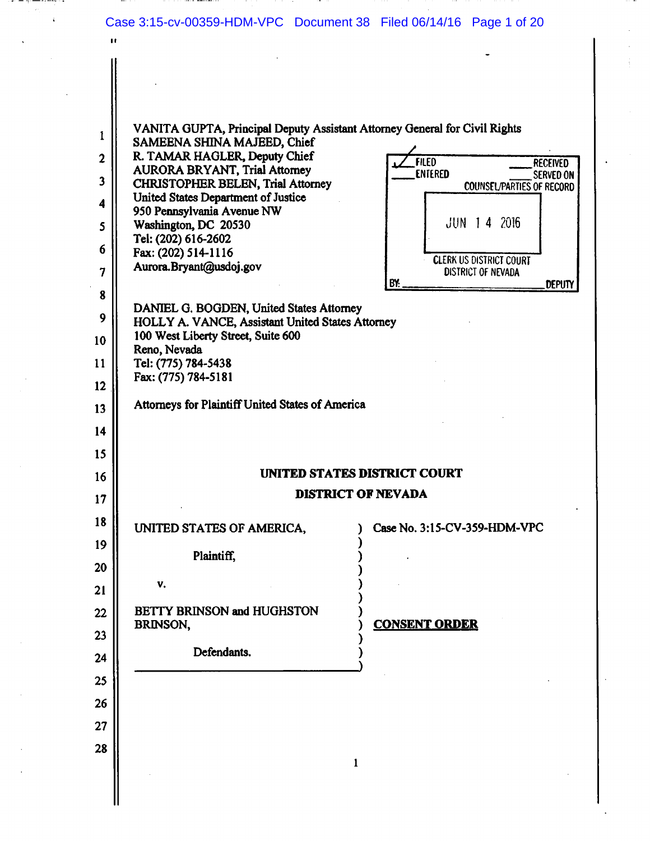| $\mathbf{r}$                   |                                                                                              | Case 3:15-cv-00359-HDM-VPC Document 38 Filed 06/14/16 Page 1 of 20                                            |
|--------------------------------|----------------------------------------------------------------------------------------------|---------------------------------------------------------------------------------------------------------------|
| $\mathbf{1}$<br>$\overline{2}$ | SAMEENA SHINA MAJEED, Chief<br>R. TAMAR HAGLER, Deputy Chief                                 | VANITA GUPTA, Principal Deputy Assistant Attorney General for Civil Rights<br><b>FILED</b><br><b>RECEIVED</b> |
| 3                              | <b>AURORA BRYANT, Trial Attorney</b>                                                         | <b>ENTERED</b><br><b>SERVED ON</b>                                                                            |
|                                | <b>CHRISTOPHER BELEN, Trial Attorney</b><br>United States Department of Justice              | <b>COUNSEL/PARTIES OF RECORD</b>                                                                              |
| 4                              | 950 Pennsylvania Avenue NW                                                                   |                                                                                                               |
| 5                              | Washington, DC 20530                                                                         | $JUN$ 1 4 2016                                                                                                |
| 6                              | Tel: (202) 616-2602                                                                          |                                                                                                               |
|                                | Fax: (202) 514-1116<br>Aurora.Bryant@usdoj.gov                                               | <b>CLERK US DISTRICT COURT</b>                                                                                |
| $\overline{7}$                 |                                                                                              | <b>DISTRICT OF NEVADA</b><br>BY:<br><b>DEPUTY</b>                                                             |
| 8                              |                                                                                              |                                                                                                               |
| 9                              | DANIEL G. BOGDEN, United States Attorney<br>HOLLY A. VANCE, Assistant United States Attorney |                                                                                                               |
| 10                             | 100 West Liberty Street, Suite 600<br>Reno, Nevada                                           |                                                                                                               |
| 11                             | Tel: (775) 784-5438                                                                          |                                                                                                               |
| 12                             | Fax: (775) 784-5181                                                                          |                                                                                                               |
|                                | Attorneys for Plaintiff United States of America                                             |                                                                                                               |
| 13<br>14                       |                                                                                              |                                                                                                               |
| 15                             |                                                                                              |                                                                                                               |
| 16                             |                                                                                              | UNITED STATES DISTRICT COURT                                                                                  |
|                                |                                                                                              | <b>DISTRICT OF NEVADA</b>                                                                                     |
| 17<br>18                       |                                                                                              |                                                                                                               |
| 19                             | UNITED STATES OF AMERICA,                                                                    | Case No. 3:15-CV-359-HDM-VPC                                                                                  |
|                                | Plaintiff,                                                                                   |                                                                                                               |
| 20<br>21                       | v.                                                                                           |                                                                                                               |
| 22                             | <b>BETTY BRINSON and HUGHSTON</b>                                                            |                                                                                                               |
|                                | BRINSON,                                                                                     | <b>CONSENT ORDER</b>                                                                                          |
| 23                             | Defendants.                                                                                  |                                                                                                               |
| 24                             |                                                                                              |                                                                                                               |
| 25                             |                                                                                              |                                                                                                               |
| 26                             |                                                                                              |                                                                                                               |
| 27                             |                                                                                              |                                                                                                               |
| 28                             |                                                                                              |                                                                                                               |
|                                |                                                                                              | 1                                                                                                             |
|                                |                                                                                              |                                                                                                               |
|                                |                                                                                              |                                                                                                               |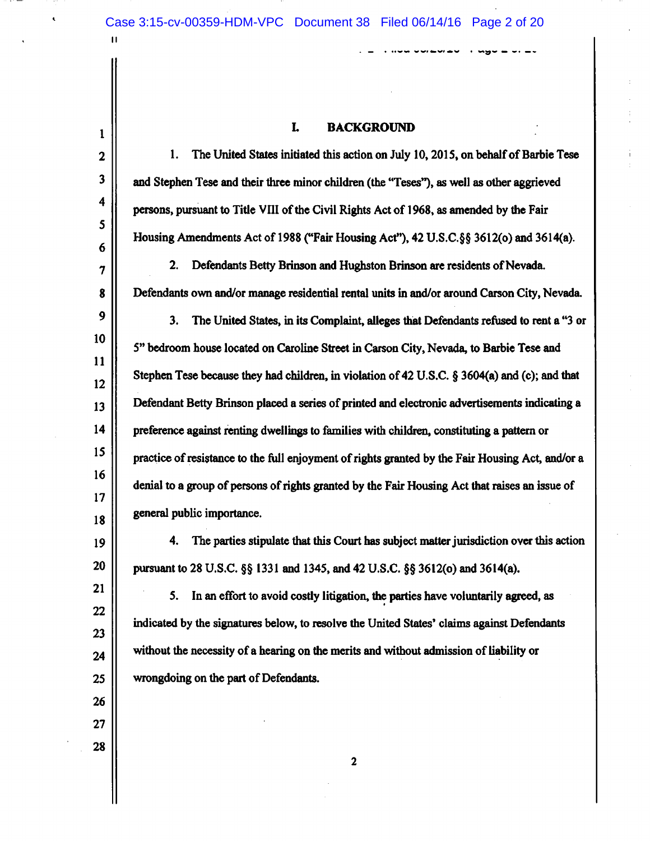$\mathbf{H}$ 

 $\mathbf{1}$ 

21

22

23

24

25

26

27

28

#### L. **BACKGROUND**

and a consequence of the second second and a second second and a second second a second and a second second a

 $\overline{2}$ 1. The United States initiated this action on July 10, 2015, on behalf of Barbie Tese  $\overline{\mathbf{3}}$ and Stephen Tese and their three minor children (the "Teses"), as well as other aggrieved 4 persons, pursuant to Title VIII of the Civil Rights Act of 1968, as amended by the Fair  $5<sup>5</sup>$ Housing Amendments Act of 1988 ("Fair Housing Act"), 42 U.S.C. §§ 3612(0) and 3614(a). 6 2. Defendants Betty Brinson and Hughston Brinson are residents of Nevada.  $\overline{7}$ Defendants own and/or manage residential rental units in and/or around Carson City, Nevada. 8  $9$  $3.$ The United States, in its Complaint, alleges that Defendants refused to rent a "3 or  $10<sub>1</sub>$ 5" bedroom house located on Caroline Street in Carson City, Nevada, to Barbie Tese and  $11$ Stephen Tese because they had children, in violation of 42 U.S.C.  $\S$  3604(a) and (c); and that  $12<sup>2</sup>$ Defendant Betty Brinson placed a series of printed and electronic advertisements indicating a  $13<sup>13</sup>$  $14$ preference against renting dwellings to families with children, constituting a pattern or 15 practice of resistance to the full enjoyment of rights granted by the Fair Housing Act, and/or a  $16<sup>2</sup>$ denial to a group of persons of rights granted by the Fair Housing Act that raises an issue of  $17$ general public importance. 18 The parties stipulate that this Court has subject matter jurisdiction over this action 19 4. 20 pursuant to 28 U.S.C. §§ 1331 and 1345, and 42 U.S.C. §§ 3612(0) and 3614(a).

5. In an effort to avoid costly litigation, the parties have voluntarily agreed, as indicated by the signatures below, to resolve the United States' claims against Defendants without the necessity of a hearing on the merits and without admission of liability or wrongdoing on the part of Defendants.

 $\overline{2}$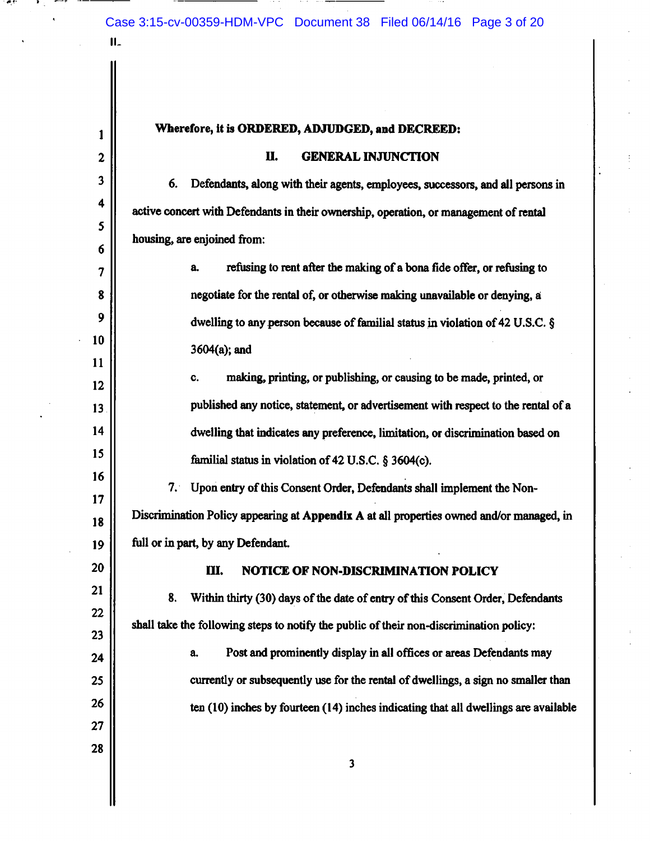11.

 $\mathbf{1}$ 

 $\mathbf{2}$ 

3

4

5

6

 $\overline{7}$ 

8

9

10

11

 $12$ 

13

14

15

16

 $17$ 

18

19

20

21

22

23

24

25

26

27

28

### Wherefore, it is ORDERED, ADJUDGED, and DECREED:

#### П. **GENERAL INJUNCTION**

6. Defendants, along with their agents, employees, successors, and all persons in active concert with Defendants in their ownership, operation, or management of rental housing, are enjoined from:

> refusing to rent after the making of a bona fide offer, or refusing to a. negotiate for the rental of, or otherwise making unavailable or denying, a dwelling to any person because of familial status in violation of 42 U.S.C. §  $3604(a)$ ; and

making, printing, or publishing, or causing to be made, printed, or C. published any notice, statement, or advertisement with respect to the rental of a dwelling that indicates any preference, limitation, or discrimination based on familial status in violation of 42 U.S.C. § 3604(c).

7. Upon entry of this Consent Order, Defendants shall implement the Non-Discrimination Policy appearing at Appendix A at all properties owned and/or managed, in full or in part, by any Defendant.

> Ш. NOTICE OF NON-DISCRIMINATION POLICY

8. Within thirty (30) days of the date of entry of this Consent Order, Defendants shall take the following steps to notify the public of their non-discrimination policy:

Post and prominently display in all offices or areas Defendants may a. currently or subsequently use for the rental of dwellings, a sign no smaller than ten  $(10)$  inches by fourteen  $(14)$  inches indicating that all dwellings are available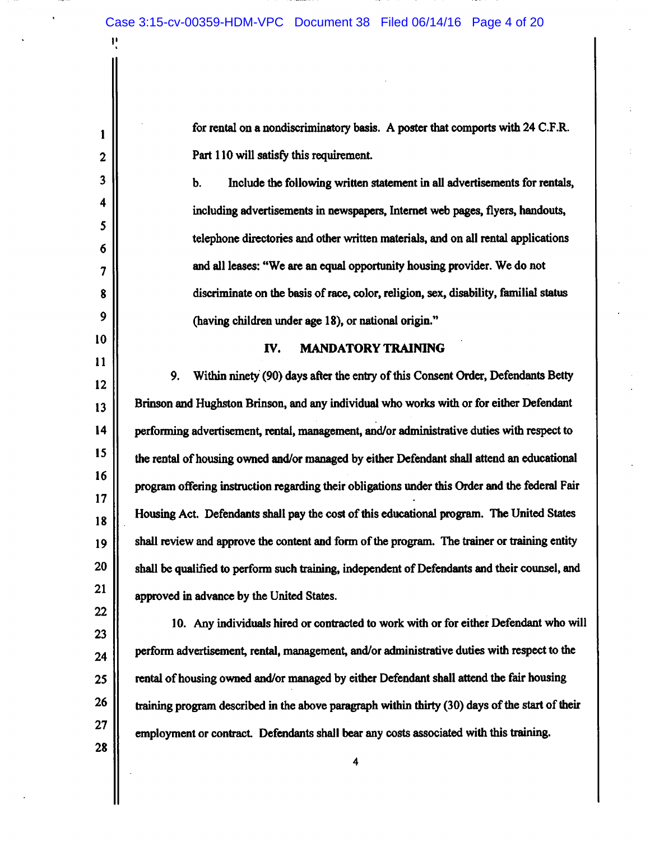Ľ

 $\mathbf{1}$ 

 $\mathbf{2}$ 

 $\overline{\mathbf{3}}$ 

4

5

6

 $\overline{\mathbf{z}}$ 

8

9

10

 $11$ 

 $22$ 

28

for rental on a nondiscriminatory basis. A poster that comports with 24 C.F.R. Part 110 will satisfy this requirement.

b. Include the following written statement in all advertisements for rentals, including advertisements in newspapers, Internet web pages, flyers, handouts, telephone directories and other written materials, and on all rental applications and all leases: "We are an equal opportunity housing provider. We do not discriminate on the basis of race, color, religion, sex, disability, familial status (having children under age 18), or national origin."

#### IV. **MANDATORY TRAINING**

 $9<sub>r</sub>$ Within ninety (90) days after the entry of this Consent Order, Defendants Betty 12 Brinson and Hughston Brinson, and any individual who works with or for either Defendant  $13$  $14$ performing advertisement, rental, management, and/or administrative duties with respect to 15 the rental of housing owned and/or managed by either Defendant shall attend an educational 16 program offering instruction regarding their obligations under this Order and the federal Fair  $17$ Housing Act. Defendants shall pay the cost of this educational program. The United States 18 19 shall review and approve the content and form of the program. The trainer or training entity 20 shall be qualified to perform such training, independent of Defendants and their counsel, and 21 approved in advance by the United States.

10. Any individuals hired or contracted to work with or for either Defendant who will 23 perform advertisement, rental, management, and/or administrative duties with respect to the 24 rental of housing owned and/or managed by either Defendant shall attend the fair housing 25 26 training program described in the above paragraph within thirty (30) days of the start of their 27 employment or contract. Defendants shall bear any costs associated with this training.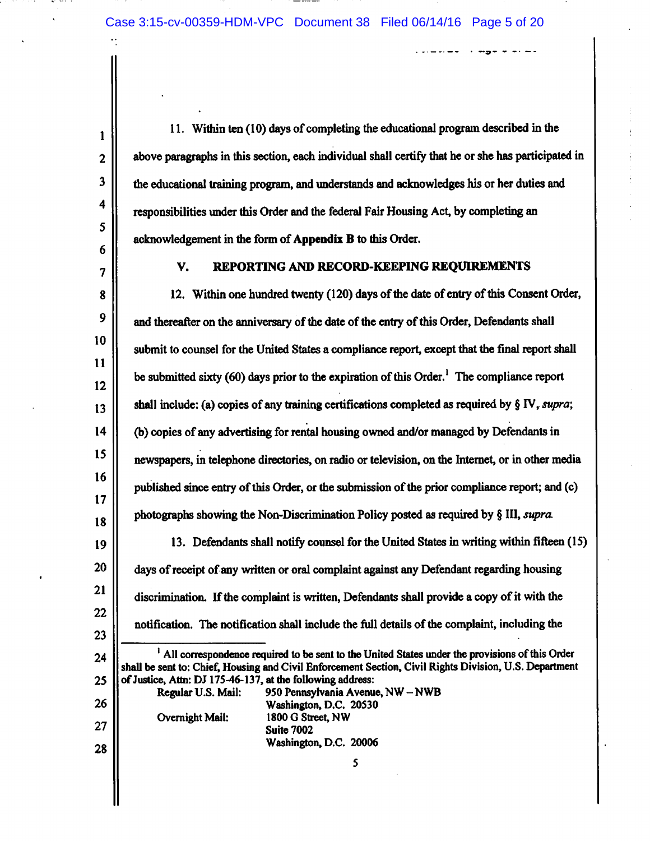11. Within ten (10) days of completing the educational program described in the above paragraphs in this section, each individual shall certify that he or she has participated in the educational training program, and understands and acknowledges his or her duties and responsibilities under this Order and the federal Fair Housing Act, by completing an acknowledgement in the form of Appendix B to this Order.

 $\ldots = \ldots = -$ 

 $\overline{\mathcal{L}}$ 

 $\mathbf{1}$ 

 $\overline{2}$ 

 $\overline{\mathbf{3}}$ 

4

 $5<sup>5</sup>$ 

6

22

23

26

27

28

#### REPORTING AND RECORD-KEEPING REQUIREMENTS V.

12. Within one hundred twenty (120) days of the date of entry of this Consent Order, 8 9 and thereafter on the anniversary of the date of the entry of this Order, Defendants shall 10 submit to counsel for the United States a compliance report, except that the final report shall 11 be submitted sixty (60) days prior to the expiration of this Order.<sup>1</sup> The compliance report  $12$ shall include: (a) copies of any training certifications completed as required by  $\S \mathbb{N}$ , supra;  $13$  $14$ (b) copies of any advertising for rental housing owned and/or managed by Defendants in 15 newspapers, in telephone directories, on radio or television, on the Internet, or in other media 16 published since entry of this Order, or the submission of the prior compliance report; and (c) 17 photographs showing the Non-Discrimination Policy posted as required by § III, supra. 18 13. Defendants shall notify counsel for the United States in writing within fifteen (15) 19 20 days of receipt of any written or oral complaint against any Defendant regarding housing  $21$ 

discrimination. If the complaint is written, Defendants shall provide a copy of it with the notification. The notification shall include the full details of the complaint, including the

<sup>1</sup> All correspondence required to be sent to the United States under the provisions of this Order 24 shall be sent to: Chief, Housing and Civil Enforcement Section, Civil Rights Division, U.S. Department of Justice, Attn: DJ 175-46-137, at the following address: 25

Regular U.S. Mail: 950 Pennsylvania Avenue, NW - NWB Washington, D.C. 20530 1800 G Street, NW **Overnight Mail: Suite 7002** Washington, D.C. 20006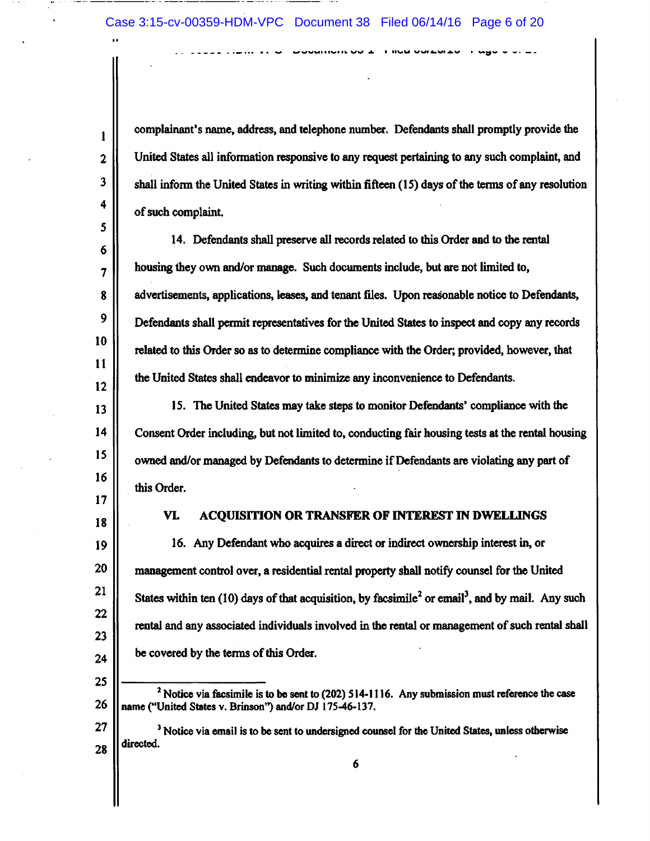complainant's name, address, and telephone number. Defendants shall promptly provide the United States all information responsive to any request pertaining to any such complaint, and shall inform the United States in writing within fifteen (15) days of the terms of any resolution of such complaint.

 $\mathbf{r}$  as  $\mathbf{u}$  representation of  $\mathbf{r}$  and observate and

14. Defendants shall preserve all records related to this Order and to the rental housing they own and/or manage. Such documents include, but are not limited to, advertisements, applications, leases, and tenant files. Upon reasonable notice to Defendants, Defendants shall permit representatives for the United States to inspect and copy any records related to this Order so as to determine compliance with the Order; provided, however, that the United States shall endeavor to minimize any inconvenience to Defendants.

15. The United States may take steps to monitor Defendants' compliance with the Consent Order including, but not limited to, conducting fair housing tests at the rental housing owned and/or managed by Defendants to determine if Defendants are violating any part of this Order.

17 18

19

20

21

22

23

24

25

 $\mathbf{1}$ 

 $\overline{2}$ 

 $\overline{\mathbf{3}}$ 

4

5

6

 $\overline{7}$ 

8

9

10

11

12

13

 $14$ 

15

16

#### VL ACQUISITION OR TRANSFER OF INTEREST IN DWELLINGS

16. Any Defendant who acquires a direct or indirect ownership interest in, or management control over, a residential rental property shall notify counsel for the United States within ten (10) days of that acquisition, by facsimile<sup>2</sup> or email<sup>3</sup>, and by mail. Any such rental and any associated individuals involved in the rental or management of such rental shall be covered by the terms of this Order.

 $<sup>2</sup>$  Notice via facsimile is to be sent to (202) 514-1116. Any submission must reference the case</sup> 26 name ("United States v. Brinson") and/or DJ 175-46-137.

 $27$ <sup>3</sup> Notice via email is to be sent to undersigned counsel for the United States, unless otherwise directed. 28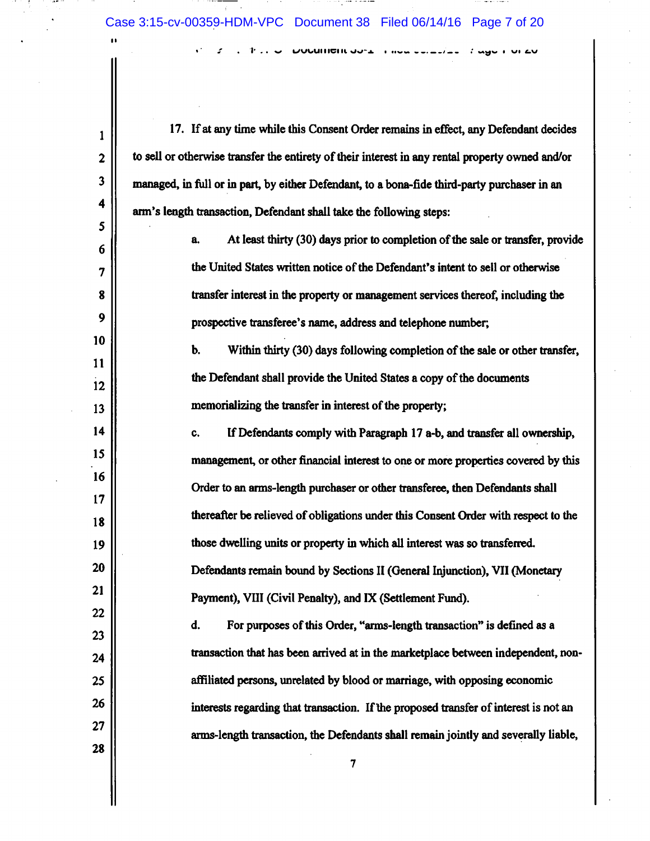$\mathbf{1}$ 

 $\overline{2}$ 

 $\overline{\mathbf{3}}$ 

4

5

6

7

8

9

10

11

12

13

14

15

16

17

18

19

20

21

22

23

24

25

26

 $27$ 

28

**DUURINGIR OUTLET HIGH CONTRACT TO A SHOW FOR EV** 

17. If at any time while this Consent Order remains in effect, any Defendant decides to sell or otherwise transfer the entirety of their interest in any rental property owned and/or managed, in full or in part, by either Defendant, to a bona-fide third-party purchaser in an arm's length transaction, Defendant shall take the following steps:

> At least thirty (30) days prior to completion of the sale or transfer, provide a. the United States written notice of the Defendant's intent to sell or otherwise transfer interest in the property or management services thereof, including the prospective transferee's name, address and telephone number;

Within thirty (30) days following completion of the sale or other transfer, b. the Defendant shall provide the United States a copy of the documents memorializing the transfer in interest of the property;

If Defendants comply with Paragraph 17 a-b, and transfer all ownership, C. management, or other financial interest to one or more properties covered by this Order to an arms-length purchaser or other transferee, then Defendants shall thereafter be relieved of obligations under this Consent Order with respect to the those dwelling units or property in which all interest was so transferred. Defendants remain bound by Sections II (General Injunction), VII (Monetary Payment), VIII (Civil Penalty), and IX (Settlement Fund).

For purposes of this Order, "arms-length transaction" is defined as a d. transaction that has been arrived at in the marketplace between independent, nonaffiliated persons, unrelated by blood or marriage, with opposing economic interests regarding that transaction. If the proposed transfer of interest is not an arms-length transaction, the Defendants shall remain jointly and severally liable,

 $\overline{7}$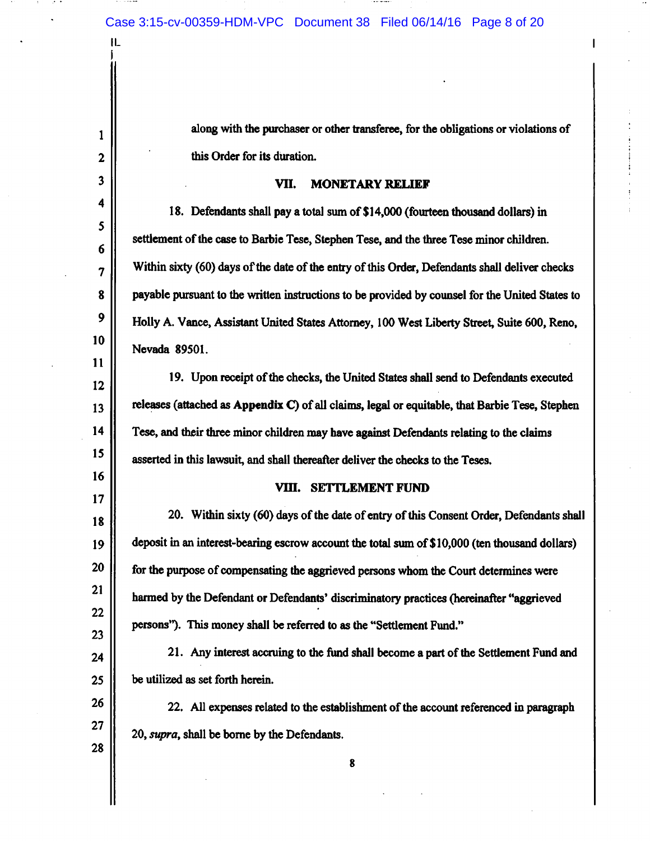along with the purchaser or other transferee, for the obligations or violations of this Order for its duration.

#### VII. **MONETARY RELIEF**

18. Defendants shall pay a total sum of \$14,000 (fourteen thousand dollars) in settlement of the case to Barbie Tese, Stephen Tese, and the three Tese minor children. Within sixty (60) days of the date of the entry of this Order, Defendants shall deliver checks payable pursuant to the written instructions to be provided by counsel for the United States to Holly A. Vance, Assistant United States Attorney, 100 West Liberty Street, Suite 600, Reno, Nevada 89501.

19. Upon receipt of the checks, the United States shall send to Defendants executed releases (attached as Appendix C) of all claims, legal or equitable, that Barbie Tese, Stephen Tese, and their three minor children may have against Defendants relating to the claims asserted in this lawsuit, and shall thereafter deliver the checks to the Teses.

### VIII. SETTLEMENT FUND

20. Within sixty (60) days of the date of entry of this Consent Order, Defendants shall deposit in an interest-bearing escrow account the total sum of \$10,000 (ten thousand dollars) for the purpose of compensating the aggrieved persons whom the Court determines were harmed by the Defendant or Defendants' discriminatory practices (hereinafter "aggrieved persons"). This money shall be referred to as the "Settlement Fund."

21. Any interest accruing to the fund shall become a part of the Settlement Fund and be utilized as set forth herein.

22. All expenses related to the establishment of the account referenced in paragraph 20, supra, shall be borne by the Defendants.

 $\mathbf{1}$ 

 $\overline{2}$ 

3

4

5

6

 $\overline{7}$ 

8

 $9$ 

10

11

12

13

14

15

16

17

18

19

20

21

22

23

24

25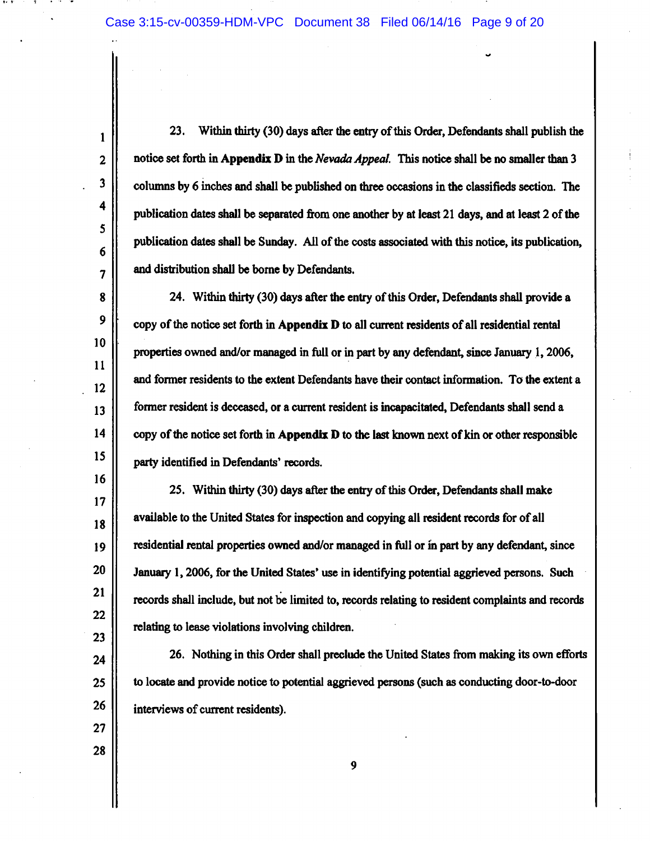$\mathbf{1}$  $\overline{2}$ 

3

4

5

 $6\phantom{1}$ 

 $\overline{7}$ 

8

9

10

11

 $12$ 

13

 $14$ 

15

16

 $17$ 

18

19

20

21

 $22$ 

23

24

25

26

27

28

 $23.$ Within thirty (30) days after the entry of this Order, Defendants shall publish the notice set forth in Appendix D in the Nevada Appeal. This notice shall be no smaller than 3 columns by 6 inches and shall be published on three occasions in the classifieds section. The publication dates shall be separated from one another by at least 21 days, and at least 2 of the publication dates shall be Sunday. All of the costs associated with this notice, its publication, and distribution shall be borne by Defendants.

24. Within thirty (30) days after the entry of this Order, Defendants shall provide a copy of the notice set forth in Appendix D to all current residents of all residential rental properties owned and/or managed in full or in part by any defendant, since January 1, 2006, and former residents to the extent Defendants have their contact information. To the extent a former resident is deceased, or a current resident is incapacitated, Defendants shall send a copy of the notice set forth in Appendix D to the last known next of kin or other responsible party identified in Defendants' records.

25. Within thirty (30) days after the entry of this Order, Defendants shall make available to the United States for inspection and copying all resident records for of all residential rental properties owned and/or managed in full or in part by any defendant, since January 1, 2006, for the United States' use in identifying potential aggrieved persons. Such records shall include, but not be limited to, records relating to resident complaints and records relating to lease violations involving children.

26. Nothing in this Order shall preclude the United States from making its own efforts to locate and provide notice to potential aggrieved persons (such as conducting door-to-door interviews of current residents).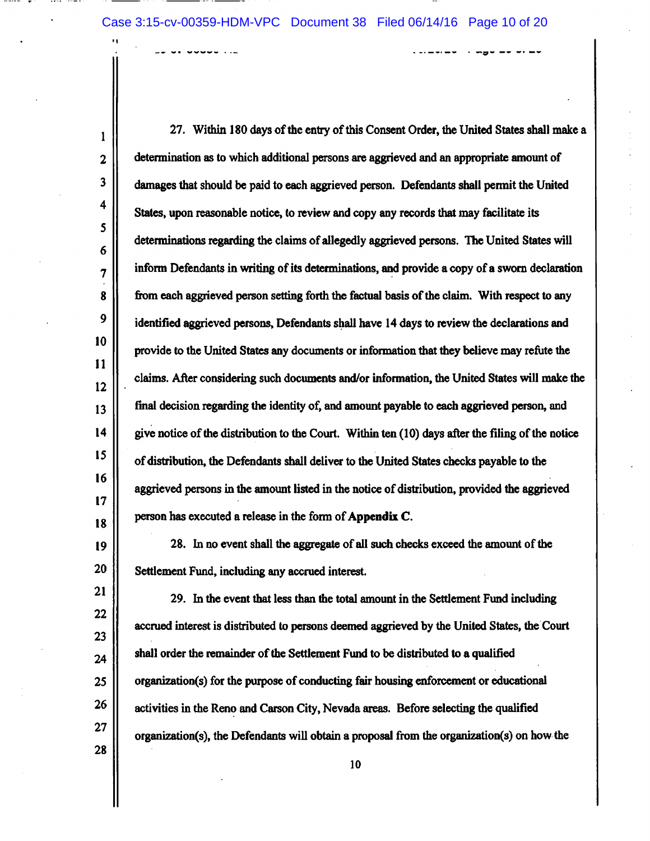27. Within 180 days of the entry of this Consent Order, the United States shall make a  $\mathbf{1}$ determination as to which additional persons are aggrieved and an appropriate amount of  $\overline{2}$  $\overline{\mathbf{3}}$ damages that should be paid to each aggrieved person. Defendants shall permit the United 4 States, upon reasonable notice, to review and copy any records that may facilitate its  $\mathsf{S}$ determinations regarding the claims of allegedly aggrieved persons. The United States will 6 inform Defendants in writing of its determinations, and provide a copy of a sworn declaration  $\boldsymbol{7}$ 8 from each aggrieved person setting forth the factual basis of the claim. With respect to any 9 identified aggrieved persons, Defendants shall have 14 days to review the declarations and 10 provide to the United States any documents or information that they believe may refute the 11 claims. After considering such documents and/or information, the United States will make the 12 final decision regarding the identity of, and amount payable to each aggrieved person, and 13  $14$ give notice of the distribution to the Court. Within ten (10) days after the filing of the notice 15 of distribution, the Defendants shall deliver to the United States checks payable to the 16 aggrieved persons in the amount listed in the notice of distribution, provided the aggrieved 17 person has executed a release in the form of Appendix C. 18

28. In no event shall the aggregate of all such checks exceed the amount of the Settlement Fund, including any accrued interest.

19

20

21 29. In the event that less than the total amount in the Settlement Fund including  $22$ accrued interest is distributed to persons deemed aggrieved by the United States, the Court  $23$ shall order the remainder of the Settlement Fund to be distributed to a qualified 24 25 organization(s) for the purpose of conducting fair housing enforcement or educational 26 activities in the Reno and Carson City, Nevada areas. Before selecting the qualified  $27$ organization(s), the Defendants will obtain a proposal from the organization(s) on how the 28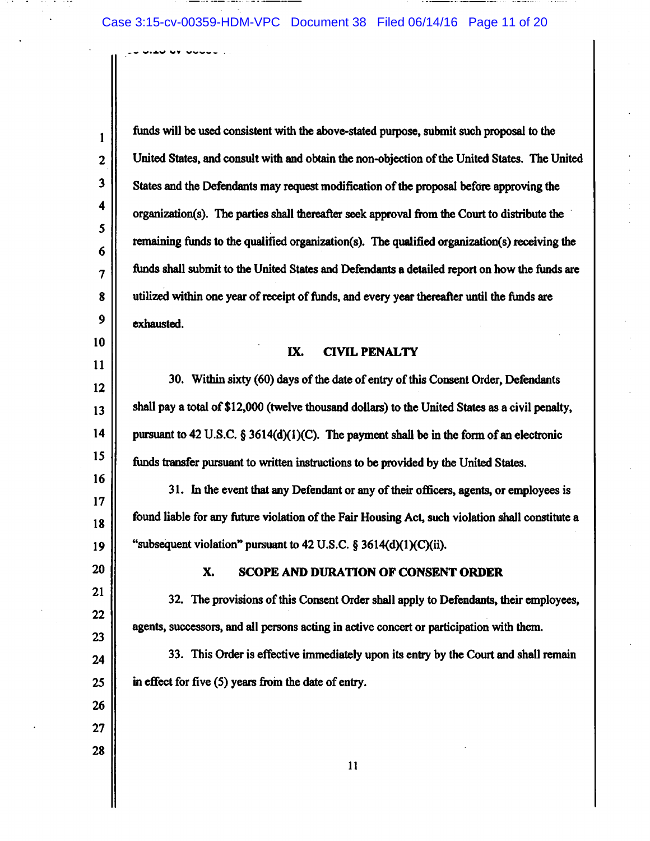$\mathbf{1}$ 

 $\overline{2}$ 

 $\overline{\mathbf{3}}$ 

4

5

6

 $\overline{\mathbf{z}}$ 

8

9

10

11

 $12 \,$ 

13

14

15

16

17

18

19

20

21

22

23

24

25

26

 $27$ 

28

funds will be used consistent with the above-stated purpose, submit such proposal to the United States, and consult with and obtain the non-objection of the United States. The United States and the Defendants may request modification of the proposal before approving the organization(s). The parties shall thereafter seek approval from the Court to distribute the remaining funds to the qualified organization(s). The qualified organization(s) receiving the funds shall submit to the United States and Defendants a detailed report on how the funds are utilized within one year of receipt of funds, and every year thereafter until the funds are exhausted.

#### IX. **CIVIL PENALTY**

30. Within sixty (60) days of the date of entry of this Consent Order, Defendants shall pay a total of \$12,000 (twelve thousand dollars) to the United States as a civil penalty, pursuant to 42 U.S.C.  $\S 3614(d)(1)(C)$ . The payment shall be in the form of an electronic funds transfer pursuant to written instructions to be provided by the United States.

31. In the event that any Defendant or any of their officers, agents, or employees is found liable for any future violation of the Fair Housing Act, such violation shall constitute a "subsequent violation" pursuant to 42 U.S.C.  $\S$  3614(d)(1)(C)(ii).

#### X. **SCOPE AND DURATION OF CONSENT ORDER**

32. The provisions of this Consent Order shall apply to Defendants, their employees, agents, successors, and all persons acting in active concert or participation with them.

33. This Order is effective immediately upon its entry by the Court and shall remain in effect for five (5) years from the date of entry.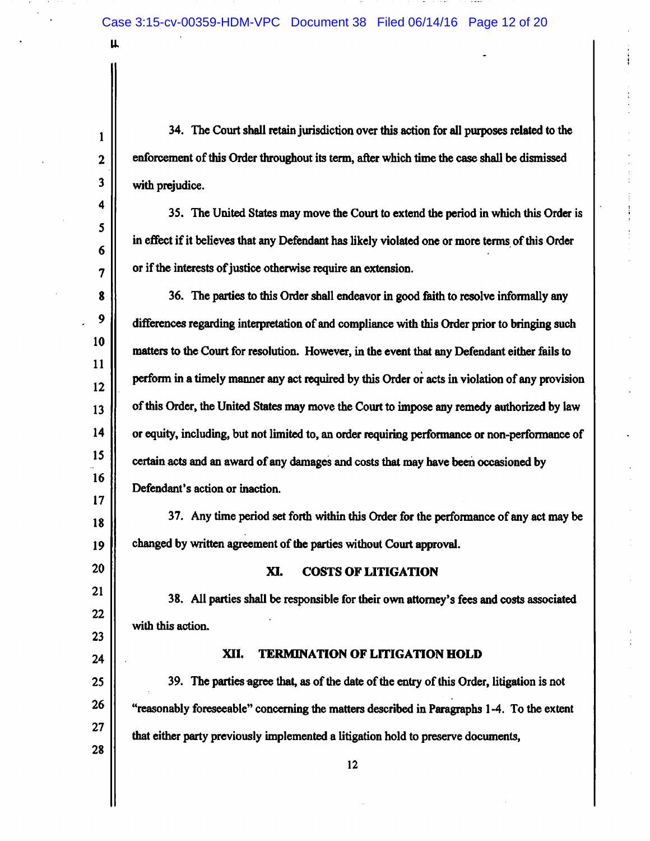u.

 $\mathbf{1}$ 

 $\overline{2}$ 

 $\overline{\mathbf{3}}$ 

4

5

6

7

8

9

10

11

 $12$ 

13

14

15

16

 $17$ 

18

19

20

21

22

23

 $24$ 

28

34. The Court shall retain jurisdiction over this action for all purposes related to the enforcement of this Order throughout its term, after which time the case shall be dismissed with prejudice.

35. The United States may move the Court to extend the period in which this Order is in effect if it believes that any Defendant has likely violated one or more terms of this Order or if the interests of justice otherwise require an extension.

36. The parties to this Order shall endeavor in good faith to resolve informally any differences regarding interpretation of and compliance with this Order prior to bringing such matters to the Court for resolution. However, in the event that any Defendant either fails to perform in a timely manner any act required by this Order or acts in violation of any provision of this Order, the United States may move the Court to impose any remedy authorized by law or equity, including, but not limited to, an order requiring performance or non-performance of certain acts and an award of any damages and costs that may have been occasioned by Defendant's action or inaction.

37. Any time period set forth within this Order for the performance of any act may be changed by written agreement of the parties without Court approval.

#### XI. **COSTS OF LITIGATION**

38. All parties shall be responsible for their own attorney's fees and costs associated with this action.

#### XII. **TERMINATION OF LITIGATION HOLD**

39. The parties agree that, as of the date of the entry of this Order, litigation is not 25 26 "reasonably foreseeable" concerning the matters described in Paragraphs 1-4. To the extent  $27$ that either party previously implemented a litigation hold to preserve documents,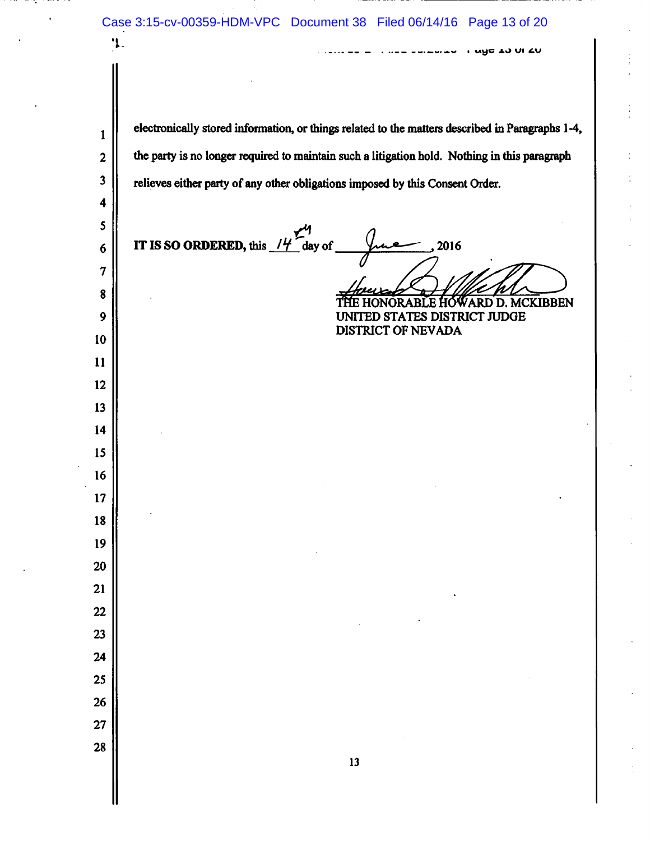Case 3:15-cv-00359-HDM-VPC Document 38 Filed 06/14/16 Page 13 of 20 'ኔ-UNG TO NI TO electronically stored information, or things related to the matters described in Paragraphs 1-4,  $\mathbf{1}$  $\overline{\mathbf{c}}$ the party is no longer required to maintain such a litigation hold. Nothing in this paragraph  $\mathbf{3}$ relieves either party of any other obligations imposed by this Consent Order.  $\ddot{\mathbf{4}}$  $\mathsf{S}$ 2016  $6\phantom{1}$  $\overline{7}$ 8 WARD D. MCKIBBEN ORABLE HO  $\mathbf{9}$ UNITED STATES DISTRICT JUDGE **DISTRICT OF NEVADA** 10 11 12 13 14 15 16 17 18 19 20 21 22 23  $24$ 25 26 27 28  $13$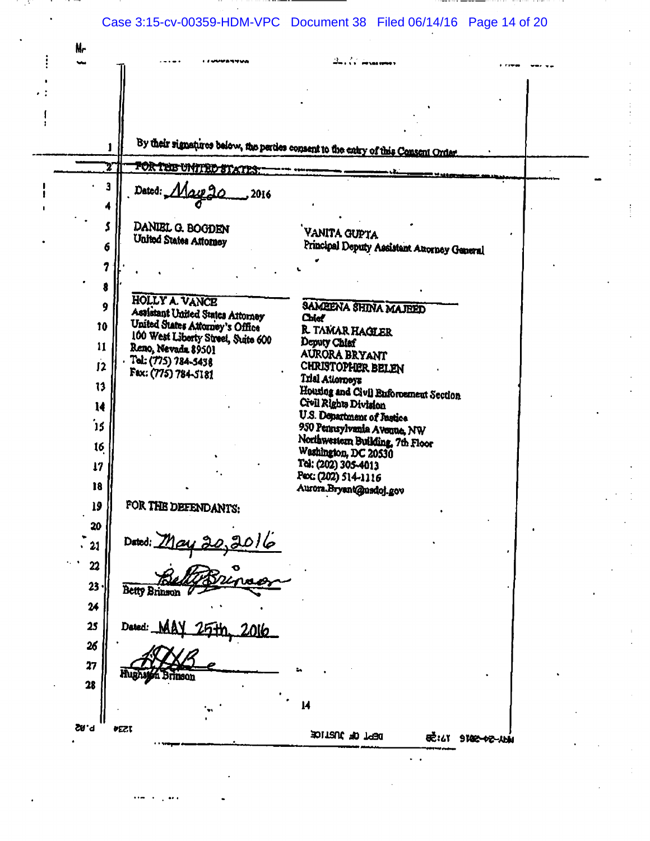# Case 3:15-cv-00359-HDM-VPC Document 38 Filed 06/14/16 Page 14 of 20

 $\ddot{\ddot{\cdot}}$ 

 $\sim$ 

| Nr              |                                                                       |                                                                                    |  |
|-----------------|-----------------------------------------------------------------------|------------------------------------------------------------------------------------|--|
|                 |                                                                       |                                                                                    |  |
|                 |                                                                       |                                                                                    |  |
|                 |                                                                       |                                                                                    |  |
|                 |                                                                       |                                                                                    |  |
|                 |                                                                       |                                                                                    |  |
|                 |                                                                       | By their signatures below, the parties consent to the entry of this Consent Order. |  |
|                 | FOR THE UNITED STATES:                                                |                                                                                    |  |
| 3               | Dated: Macp 2                                                         |                                                                                    |  |
|                 | 2016                                                                  |                                                                                    |  |
|                 |                                                                       |                                                                                    |  |
|                 | DANIEL G. BOGDEN<br>United States Attorney                            | VANITA GUPTA                                                                       |  |
| 6               |                                                                       | Principal Deputy Assistant Attorney General                                        |  |
| 7               |                                                                       |                                                                                    |  |
| 8               |                                                                       |                                                                                    |  |
| 9               | HOLLY A. VANCE                                                        |                                                                                    |  |
|                 | Assistant United States Attorney                                      | SAMEENA SHINA MAJEED<br>Chief                                                      |  |
| 10              | United States Attorney's Office<br>100 West Liberty Street, Suite 600 | R TAMAR HAGLER                                                                     |  |
| $\mathbf{11}$   | Reno, Nevada 89501                                                    | Deputy Chief<br>AURORA BRYANT                                                      |  |
| 12              | Tol. (775) 784-5438                                                   | <b>CHRISTOPHER BELEN</b>                                                           |  |
| 13              | Fax: (775) 784-5181                                                   | Trial Attorneys                                                                    |  |
|                 |                                                                       | Housing and Civil Enforcement Section<br>Civil Rights Division                     |  |
| 14              |                                                                       | U.S. Department of Justice                                                         |  |
| 15              |                                                                       | 950 Pennsylvania Avenue, NW                                                        |  |
| 16              |                                                                       | Northwestern Building, 7th Floor<br>Washington, DC 20530                           |  |
| 17              |                                                                       | Tel: (202) 305-4013                                                                |  |
| 18              |                                                                       | Pex: (202) 514-1116                                                                |  |
|                 |                                                                       | Aurora.Bryant@usdoj.gov                                                            |  |
| 19              | FOR THE DEFENDANTS:                                                   |                                                                                    |  |
| 20<br>٠         |                                                                       |                                                                                    |  |
| 21<br>$\bullet$ | Dated: $\frac{May 30,3016}{Bx^2}$                                     |                                                                                    |  |
| 22              |                                                                       |                                                                                    |  |
| 23              |                                                                       |                                                                                    |  |
|                 | Betty Brinson                                                         |                                                                                    |  |
| 24              |                                                                       |                                                                                    |  |
| 25              | Dated:                                                                |                                                                                    |  |
| 26              |                                                                       |                                                                                    |  |
| 27              |                                                                       |                                                                                    |  |
| 28              | Hughston Brinson                                                      |                                                                                    |  |
|                 |                                                                       |                                                                                    |  |
|                 |                                                                       | 14                                                                                 |  |
| <b>P.82</b>     | <b>PEZI</b>                                                           | BPT OF JUSTICE                                                                     |  |
|                 |                                                                       | <b>EC:47 9100-02-114</b>                                                           |  |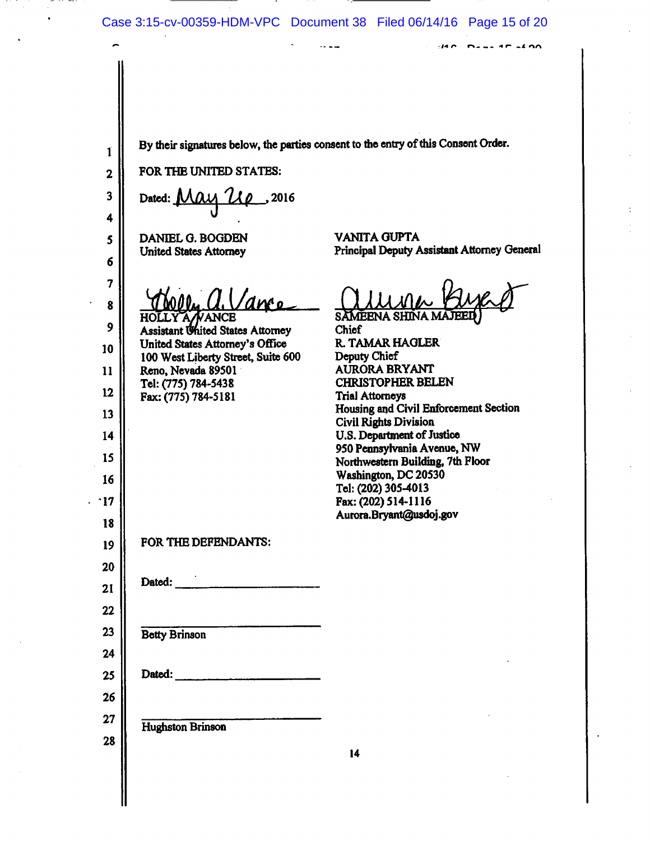$\sim$   $\sim$   $\sim$ 

 $140$  Description

By their signatures below, the parties consent to the entry of this Consent Order.  $\mathbf{1}$ FOR THE UNITED STATES:  $\overline{2}$ 3 Dated: May Up . 2016 4 **VANITA GUPTA** DANIEL G. BOGDEN 5 Principal Deputy Assistant Attorney General **United States Attorney** 6 7 . a. Vance 8 HOLLY A NANCE<br>Assistant United States Attorney SAMEENA SHINA MA 9 **Chief** United States Attorney's Office R. TAMAR HAGLER 10 100 West Liberty Street, Suite 600 Deputy Chief Reno, Nevada 89501 AURORA BRYANT  $11$ Tel: (775) 784-5438 **CHRISTOPHER BELEN**  $12$ Fax: (775) 784-5181 **Trial Attorneys** Housing and Civil Enforcement Section 13 **Civil Rights Division** U.S. Department of Justice 14 950 Pennsylvania Avenue, NW 15 Northwestern Building, 7th Floor Washington, DC 20530 16 Tel: (202) 305-4013 Fax: (202) 514-1116  $\cdot$ 17 Aurora.Bryant@usdoj.gov 18 FOR THE DEFENDANTS: 19 20 Dated: 21 22 23 **Betty Brinson** 24 Dated: 25 26  $27$ Hughston Brinson 28  $14$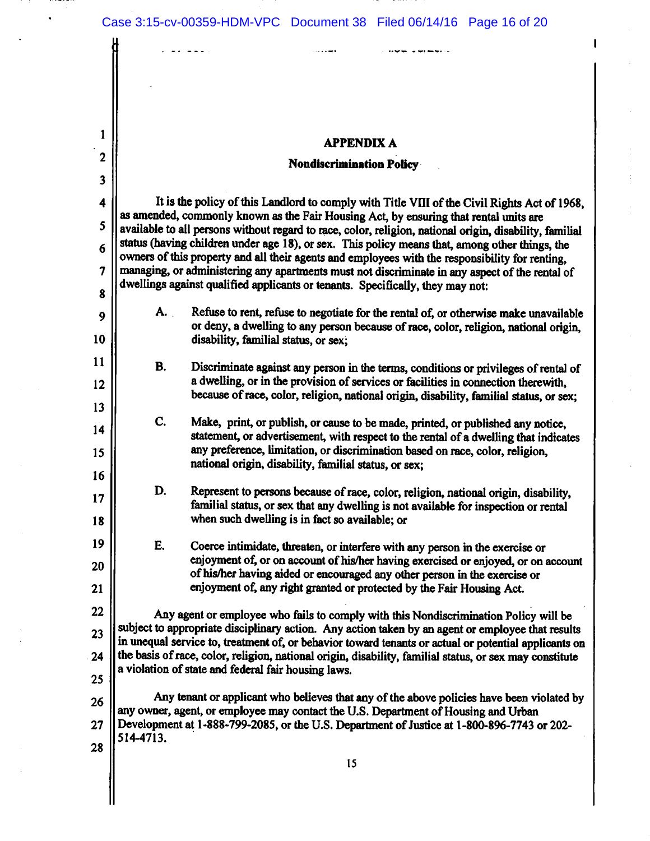$\mathbf{1}$ 

 $\mathbf{2}$ 

 $\overline{\mathbf{3}}$ 

4

5

6

 $\overline{7}$ 

8

9

10

11

 $12$ 

13

14

15

16

17

18

19

20

21

### **APPENDIX A**

### **Nondiscrimination Policy**

It is the policy of this Landlord to comply with Title VIII of the Civil Rights Act of 1968, as amended, commonly known as the Fair Housing Act, by ensuring that rental units are available to all persons without regard to race, color, religion, national origin, disability, familial status (having children under age 18), or sex. This policy means that, among other things, the owners of this property and all their agents and employees with the responsibility for renting, managing, or administering any apartments must not discriminate in any aspect of the rental of dwellings against qualified applicants or tenants. Specifically, they may not:

- Refuse to rent, refuse to negotiate for the rental of, or otherwise make unavailable А. or deny, a dwelling to any person because of race, color, religion, national origin, disability, familial status, or sex:
- **B.** Discriminate against any person in the terms, conditions or privileges of rental of a dwelling, or in the provision of services or facilities in connection therewith. because of race, color, religion, national origin, disability, familial status, or sex;
- C. Make, print, or publish, or cause to be made, printed, or published any notice, statement, or advertisement, with respect to the rental of a dwelling that indicates any preference, limitation, or discrimination based on race, color, religion. national origin, disability, familial status, or sex:
- D. Represent to persons because of race, color, religion, national origin, disability, familial status, or sex that any dwelling is not available for inspection or rental when such dwelling is in fact so available; or
- E. Coerce intimidate, threaten, or interfere with any person in the exercise or enjoyment of, or on account of his/her having exercised or enjoyed, or on account of his/her having aided or encouraged any other person in the exercise or enjoyment of, any right granted or protected by the Fair Housing Act.

22 Any agent or employee who fails to comply with this Nondiscrimination Policy will be subject to appropriate disciplinary action. Any action taken by an agent or employee that results 23 in unequal service to, treatment of, or behavior toward tenants or actual or potential applicants on the basis of race, color, religion, national origin, disability, familial status, or sex may constitute  $24$ a violation of state and federal fair housing laws. 25

Any tenant or applicant who believes that any of the above policies have been violated by 26 any owner, agent, or employee may contact the U.S. Department of Housing and Urban Development at 1-888-799-2085, or the U.S. Department of Justice at 1-800-896-7743 or 202- $27$ 514-4713. 28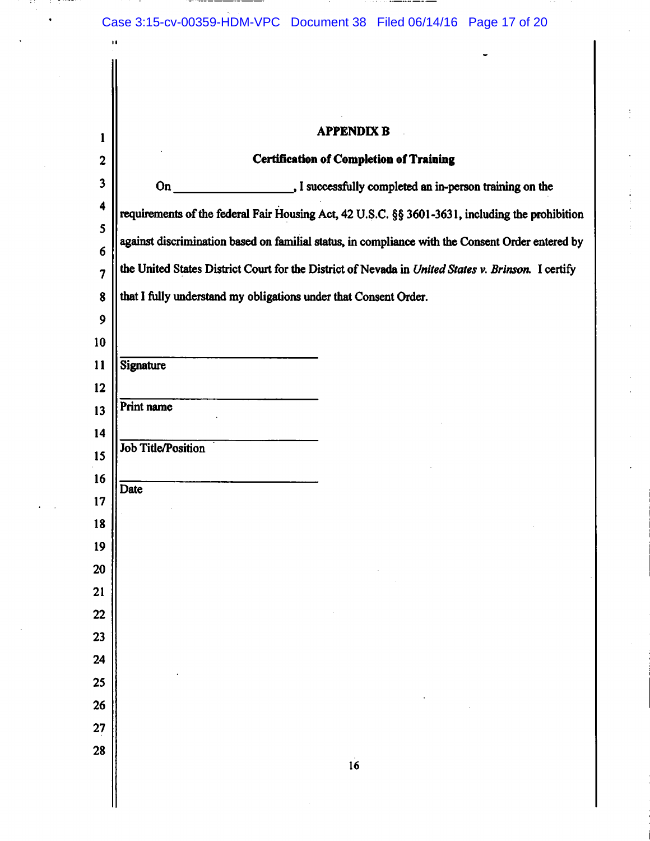$\cdots$ 

..... --- -

3 T

 $\bar{z}$  $\bullet$ 

is trong

**Contract Contract** 

 $\mathbf{u}$ 

 $\begin{array}{c} \begin{array}{c} \begin{array}{c} \end{array} \end{array} \end{array}$ 

\_\_\_\_\_\_\_\_\_\_\_

| $\mathbf{1}$            |                                                                                                    | <b>APPENDIX B</b>                                                                               |  |  |  |
|-------------------------|----------------------------------------------------------------------------------------------------|-------------------------------------------------------------------------------------------------|--|--|--|
| $\overline{\mathbf{c}}$ |                                                                                                    | <b>Certification of Completion of Training</b>                                                  |  |  |  |
| $\overline{\mathbf{3}}$ | $On_$                                                                                              | . I successfully completed an in-person training on the                                         |  |  |  |
| $\ddot{\mathbf{4}}$     |                                                                                                    | requirements of the federal Fair Housing Act, 42 U.S.C. §§ 3601-3631, including the prohibition |  |  |  |
| 5                       | against discrimination based on familial status, in compliance with the Consent Order entered by   |                                                                                                 |  |  |  |
| 6                       |                                                                                                    |                                                                                                 |  |  |  |
| $\overline{7}$          | the United States District Court for the District of Nevada in United States v. Brinson. I certify |                                                                                                 |  |  |  |
| 8                       | that I fully understand my obligations under that Consent Order.                                   |                                                                                                 |  |  |  |
| 9<br>10                 |                                                                                                    |                                                                                                 |  |  |  |
| 11                      | Signature                                                                                          |                                                                                                 |  |  |  |
| 12                      |                                                                                                    |                                                                                                 |  |  |  |
| 13                      | Print name                                                                                         |                                                                                                 |  |  |  |
| 14                      |                                                                                                    |                                                                                                 |  |  |  |
| 15                      | <b>Job Title/Position</b>                                                                          |                                                                                                 |  |  |  |
| 16                      | Date                                                                                               |                                                                                                 |  |  |  |
| 17                      |                                                                                                    |                                                                                                 |  |  |  |
| 18                      |                                                                                                    |                                                                                                 |  |  |  |
| 19                      |                                                                                                    |                                                                                                 |  |  |  |
| <b>20</b><br>21         |                                                                                                    |                                                                                                 |  |  |  |
| $\overline{22}$         |                                                                                                    |                                                                                                 |  |  |  |
| 23                      |                                                                                                    |                                                                                                 |  |  |  |
| 24                      |                                                                                                    |                                                                                                 |  |  |  |
| 25                      |                                                                                                    |                                                                                                 |  |  |  |
| 26                      |                                                                                                    |                                                                                                 |  |  |  |
| 27                      |                                                                                                    |                                                                                                 |  |  |  |
| 28                      |                                                                                                    | 16                                                                                              |  |  |  |
|                         |                                                                                                    |                                                                                                 |  |  |  |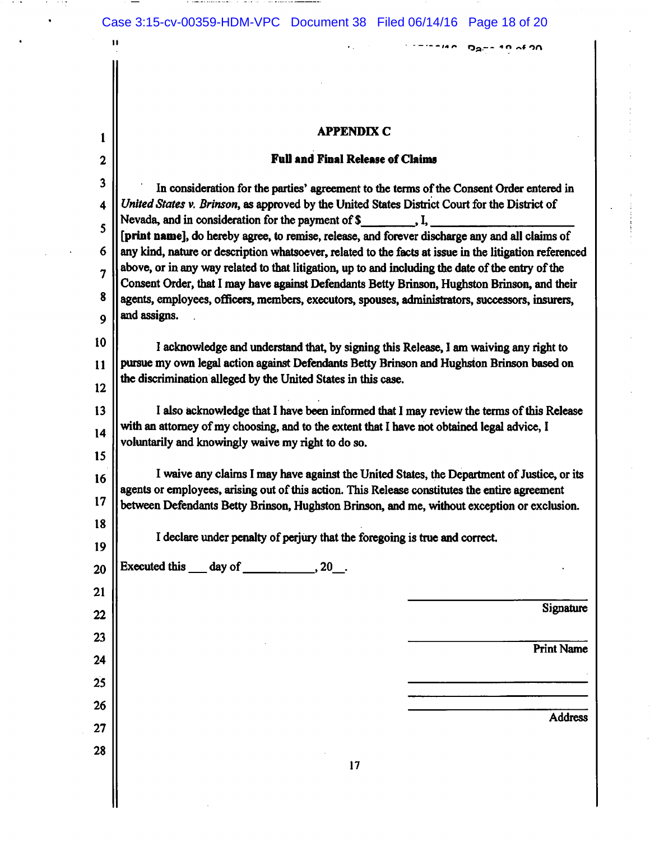**Contract Contract** 

a ta 1972

 $\bullet$ 

 $\sim$   $-$ 

 $\mathbf{H}$ 

 $\mathbf{1}$ 

 $26\phantom{.}$ 

 $27$ 

28

## **APPENDIX C**

 $\star$  .

 $1.777740$  Dame 10 of 20

### **Full and Final Release of Claims**

| $\mathbf{2}$            | <b>Full and Final Release of Claims</b>                                                                                                                                                                  |  |  |  |  |  |
|-------------------------|----------------------------------------------------------------------------------------------------------------------------------------------------------------------------------------------------------|--|--|--|--|--|
| $\overline{\mathbf{3}}$ | In consideration for the parties' agreement to the terms of the Consent Order entered in                                                                                                                 |  |  |  |  |  |
| $\overline{\mathbf{4}}$ | United States v. Brinson, as approved by the United States District Court for the District of                                                                                                            |  |  |  |  |  |
| 5                       | Nevada, and in consideration for the payment of $\mathcal S$ , I,                                                                                                                                        |  |  |  |  |  |
| 6                       | [print name], do hereby agree, to remise, release, and forever discharge any and all claims of<br>any kind, nature or description whatsoever, related to the facts at issue in the litigation referenced |  |  |  |  |  |
| 7                       | above, or in any way related to that litigation, up to and including the date of the entry of the                                                                                                        |  |  |  |  |  |
| 8                       | Consent Order, that I may have against Defendants Betty Brinson, Hughston Brinson, and their                                                                                                             |  |  |  |  |  |
| 9                       | agents, employees, officers, members, executors, spouses, administrators, successors, insurers,<br>and assigns.                                                                                          |  |  |  |  |  |
|                         |                                                                                                                                                                                                          |  |  |  |  |  |
| 10                      | I acknowledge and understand that, by signing this Release, I am waiving any right to                                                                                                                    |  |  |  |  |  |
| 11                      | pursue my own legal action against Defendants Betty Brinson and Hughston Brinson based on<br>the discrimination alleged by the United States in this case.                                               |  |  |  |  |  |
| 12                      |                                                                                                                                                                                                          |  |  |  |  |  |
| 13                      | I also acknowledge that I have been informed that I may review the terms of this Release                                                                                                                 |  |  |  |  |  |
| 14                      | with an attorney of my choosing, and to the extent that I have not obtained legal advice, I<br>voluntarily and knowingly waive my right to do so.                                                        |  |  |  |  |  |
| 15                      |                                                                                                                                                                                                          |  |  |  |  |  |
| 16                      | I waive any claims I may have against the United States, the Department of Justice, or its                                                                                                               |  |  |  |  |  |
| $17\phantom{.}$         | agents or employees, arising out of this action. This Release constitutes the entire agreement<br>between Defendants Betty Brinson, Hughston Brinson, and me, without exception or exclusion.            |  |  |  |  |  |
| 18                      |                                                                                                                                                                                                          |  |  |  |  |  |
| 19                      | I declare under penalty of perjury that the foregoing is true and correct.                                                                                                                               |  |  |  |  |  |
| 20                      | Executed this $\_\_\_$ day of $\_\_\_\_\_$ , 20.                                                                                                                                                         |  |  |  |  |  |
| 21                      |                                                                                                                                                                                                          |  |  |  |  |  |
| 22                      | Signature                                                                                                                                                                                                |  |  |  |  |  |
| 23                      |                                                                                                                                                                                                          |  |  |  |  |  |
| 24                      | <b>Print Name</b>                                                                                                                                                                                        |  |  |  |  |  |
|                         |                                                                                                                                                                                                          |  |  |  |  |  |
| 25                      |                                                                                                                                                                                                          |  |  |  |  |  |

Address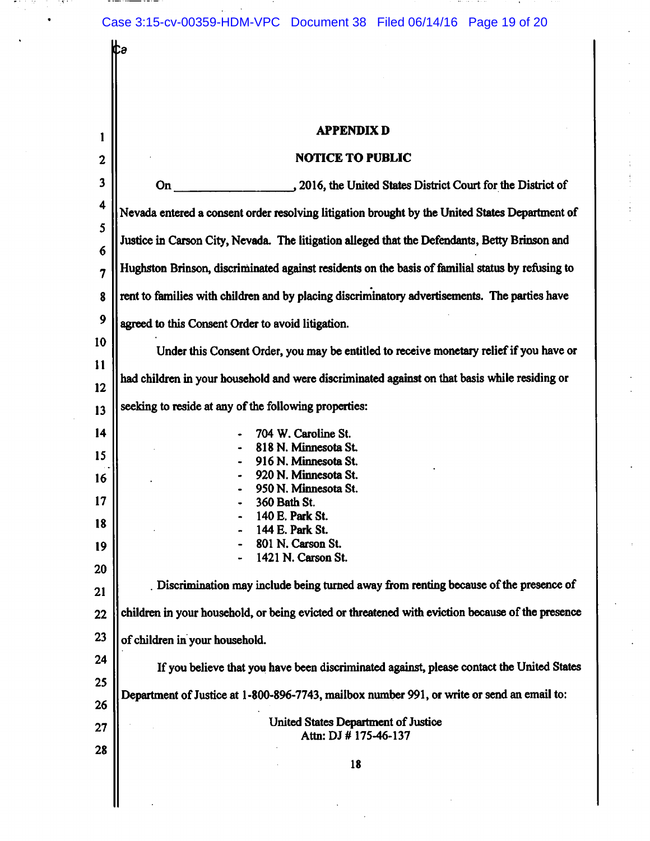Case 3:15-cv-00359-HDM-VPC Document 38 Filed 06/14/16 Page 19 of 20

and the company of the company

 $\sim$ 

. . . -12 in the fill

|                  | Itə                                                                                              |  |  |  |  |  |
|------------------|--------------------------------------------------------------------------------------------------|--|--|--|--|--|
|                  |                                                                                                  |  |  |  |  |  |
|                  |                                                                                                  |  |  |  |  |  |
| 1                | <b>APPENDIX D</b>                                                                                |  |  |  |  |  |
| $\boldsymbol{2}$ | <b>NOTICE TO PUBLIC</b>                                                                          |  |  |  |  |  |
| 3                | , 2016, the United States District Court for the District of<br>On                               |  |  |  |  |  |
| 4                |                                                                                                  |  |  |  |  |  |
| 5                | Nevada entered a consent order resolving litigation brought by the United States Department of   |  |  |  |  |  |
| 6                | Justice in Carson City, Nevada. The litigation alleged that the Defendants, Betty Brinson and    |  |  |  |  |  |
| 7                | Hughston Brinson, discriminated against residents on the basis of familial status by refusing to |  |  |  |  |  |
| 8                | rent to families with children and by placing discriminatory advertisements. The parties have    |  |  |  |  |  |
| 9                | agreed to this Consent Order to avoid litigation.                                                |  |  |  |  |  |
| 10               | Under this Consent Order, you may be entitled to receive monetary relief if you have or          |  |  |  |  |  |
| 11               | had children in your household and were discriminated against on that basis while residing or    |  |  |  |  |  |
| 12               |                                                                                                  |  |  |  |  |  |
| 13               | seeking to reside at any of the following properties:                                            |  |  |  |  |  |
| 14               | 704 W. Caroline St.<br>818 N. Minnesota St.                                                      |  |  |  |  |  |
| 15               | 916 N. Minnesota St.<br>920 N. Minnesota St.                                                     |  |  |  |  |  |
| 16               | 950 N. Minnesota St.                                                                             |  |  |  |  |  |
| 17               | 360 Bath St.<br>140 E. Park St.                                                                  |  |  |  |  |  |
| 18               | 144 E. Park St.<br>801 N. Carson St.                                                             |  |  |  |  |  |
| 19               | 1421 N. Carson St.                                                                               |  |  |  |  |  |
| 20<br>21         | Discrimination may include being turned away from renting because of the presence of             |  |  |  |  |  |
| 22               | children in your household, or being evicted or threatened with eviction because of the presence |  |  |  |  |  |
| 23               | of children in your household.                                                                   |  |  |  |  |  |
| 24               | If you believe that you have been discriminated against, please contact the United States        |  |  |  |  |  |
| 25               |                                                                                                  |  |  |  |  |  |
| 26               | Department of Justice at 1-800-896-7743, mailbox number 991, or write or send an email to:       |  |  |  |  |  |
| 27               | United States Department of Justice<br>Attn: DJ # 175-46-137                                     |  |  |  |  |  |
| 28               | 18                                                                                               |  |  |  |  |  |
|                  |                                                                                                  |  |  |  |  |  |
|                  |                                                                                                  |  |  |  |  |  |